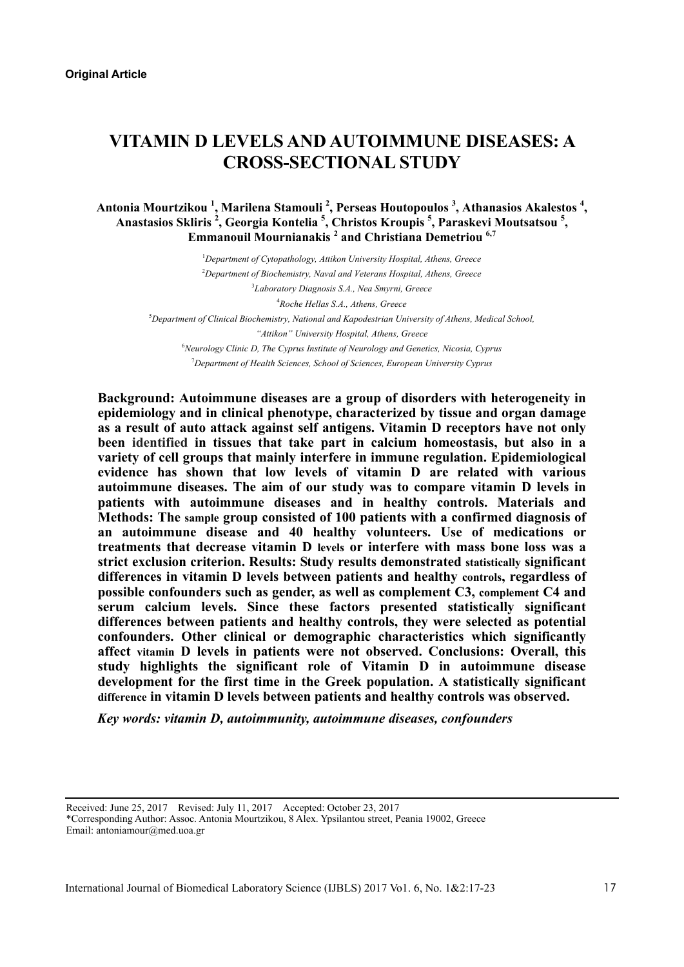# **VITAMIN D LEVELS AND AUTOIMMUNE DISEASES: A CROSS-SECTIONAL STUDY**

# **Antonia Mourtzikou 1 , Marilena Stamouli 2 , Perseas Houtopoulos <sup>3</sup> , Athanasios Akalestos <sup>4</sup> , Anastasios Skliris <sup>2</sup> , Georgia Kontelia 5 , Christos Kroupis <sup>5</sup> , Paraskevi Moutsatsou <sup>5</sup> , Emmanouil Mournianakis <sup>2</sup> and Christiana Demetriou 6,7**

 *Department of Cytopathology, Attikon University Hospital, Athens, Greece Department of Biochemistry, Naval and Veterans Hospital, Athens, Greece Laboratory Diagnosis S.A., Nea Smyrni, Greece Roche Hellas S.A., Athens, Greece Department of Clinical Biochemistry, National and Kapodestrian University of Athens, Medical School, "Attikon" University Hospital, Athens, Greece Neurology Clinic D, The Cyprus Institute of Neurology and Genetics, Nicosia, Cyprus Department of Health Sciences, School of Sciences, European University Cyprus* 

**Background: Autoimmune diseases are a group of disorders with heterogeneity in epidemiology and in clinical phenotype, characterized by tissue and organ damage as a result of auto attack against self antigens. Vitamin D receptors have not only been identified in tissues that take part in calcium homeostasis, but also in a variety of cell groups that mainly interfere in immune regulation. Epidemiological evidence has shown that low levels of vitamin D are related with various autoimmune diseases. The aim of our study was to compare vitamin D levels in patients with autoimmune diseases and in healthy controls. Materials and Methods: The sample group consisted of 100 patients with a confirmed diagnosis of an autoimmune disease and 40 healthy volunteers. Use of medications or treatments that decrease vitamin D levels or interfere with mass bone loss was a strict exclusion criterion. Results: Study results demonstrated statistically significant differences in vitamin D levels between patients and healthy controls, regardless of possible confounders such as gender, as well as complement C3, complement C4 and serum calcium levels. Since these factors presented statistically significant differences between patients and healthy controls, they were selected as potential confounders. Other clinical or demographic characteristics which significantly affect vitamin D levels in patients were not observed. Conclusions: Overall, this study highlights the significant role of Vitamin D in autoimmune disease development for the first time in the Greek population. A statistically significant difference in vitamin D levels between patients and healthy controls was observed.**

*Key words: vitamin D, autoimmunity, autoimmune diseases, confounders* 

Received: June 25, 2017 Revised: July 11, 2017 Accepted: October 23, 2017 \*Corresponding Author: Assoc. Antonia Mourtzikou, 8 Alex. Ypsilantou street, Peania 19002, Greece Email: antoniamour@med.uoa.gr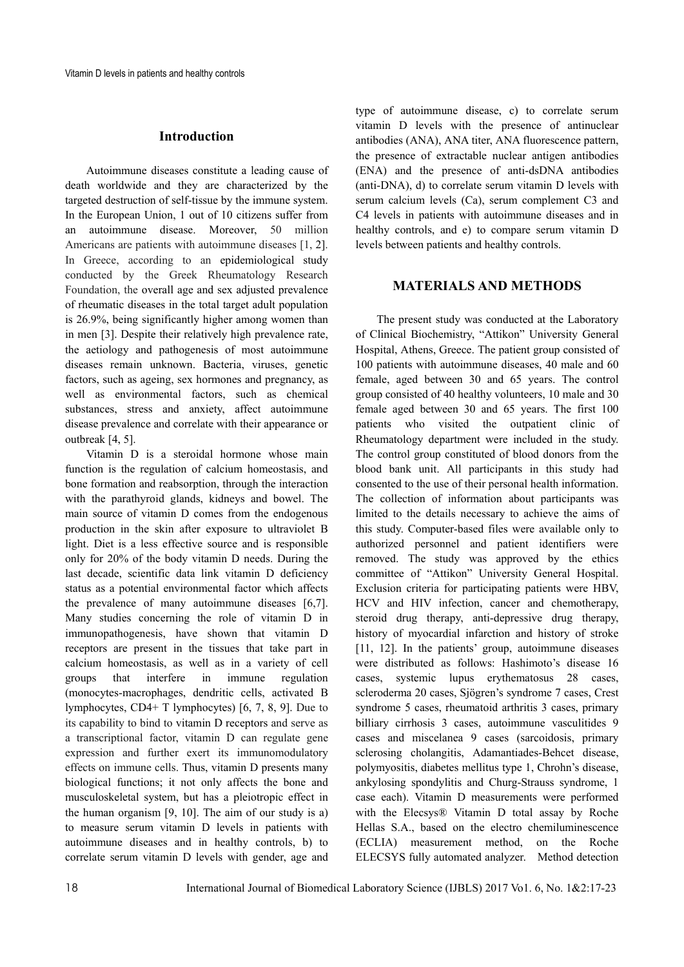#### **Introduction**

Autoimmune diseases constitute a leading cause of death worldwide and they are characterized by the targeted destruction of self-tissue by the immune system. In the European Union, 1 out of 10 citizens suffer from an autoimmune disease. Moreover, 50 million Americans are patients with autoimmune diseases [1, 2]. In Greece, according to an epidemiological study conducted by the Greek Rheumatology Research Foundation, the overall age and sex adjusted prevalence of rheumatic diseases in the total target adult population is 26.9%, being significantly higher among women than in men [3]. Despite their relatively high prevalence rate, the aetiology and pathogenesis of most autoimmune diseases remain unknown. Bacteria, viruses, genetic factors, such as ageing, sex hormones and pregnancy, as well as environmental factors, such as chemical substances, stress and anxiety, affect autoimmune disease prevalence and correlate with their appearance or outbreak [4, 5].

Vitamin D is a steroidal hormone whose main function is the regulation of calcium homeostasis, and bone formation and reabsorption, through the interaction with the parathyroid glands, kidneys and bowel. The main source of vitamin D comes from the endogenous production in the skin after exposure to ultraviolet B light. Diet is a less effective source and is responsible only for 20% of the body vitamin D needs. During the last decade, scientific data link vitamin D deficiency status as a potential environmental factor which affects the prevalence of many autoimmune diseases [6,7]. Many studies concerning the role of vitamin D in immunopathogenesis, have shown that vitamin D receptors are present in the tissues that take part in calcium homeostasis, as well as in a variety of cell groups that interfere in immune regulation (monocytes-macrophages, dendritic cells, activated B lymphocytes, CD4+ T lymphocytes) [6, 7, 8, 9]. Due to its capability to bind to vitamin D receptors and serve as a transcriptional factor, vitamin D can regulate gene expression and further exert its immunomodulatory effects on immune cells. Thus, vitamin D presents many biological functions; it not only affects the bone and musculoskeletal system, but has a pleiotropic effect in the human organism [9, 10]. The aim of our study is a) to measure serum vitamin D levels in patients with autoimmune diseases and in healthy controls, b) to correlate serum vitamin D levels with gender, age and

type of autoimmune disease, c) to correlate serum vitamin D levels with the presence of antinuclear antibodies (ANA), ANA titer, ANA fluorescence pattern, the presence of extractable nuclear antigen antibodies (ENA) and the presence of anti-dsDNA antibodies (anti-DNA), d) to correlate serum vitamin D levels with serum calcium levels (Ca), serum complement C3 and C4 levels in patients with autoimmune diseases and in healthy controls, and e) to compare serum vitamin D levels between patients and healthy controls.

#### **MATERIALS AND METHODS**

The present study was conducted at the Laboratory of Clinical Biochemistry, "Attikon" University General Hospital, Athens, Greece. The patient group consisted of 100 patients with autoimmune diseases, 40 male and 60 female, aged between 30 and 65 years. The control group consisted of 40 healthy volunteers, 10 male and 30 female aged between 30 and 65 years. The first 100 patients who visited the outpatient clinic of Rheumatology department were included in the study. The control group constituted of blood donors from the blood bank unit. All participants in this study had consented to the use of their personal health information. The collection of information about participants was limited to the details necessary to achieve the aims of this study. Computer-based files were available only to authorized personnel and patient identifiers were removed. The study was approved by the ethics committee of "Attikon" University General Hospital. Exclusion criteria for participating patients were HBV, HCV and HIV infection, cancer and chemotherapy, steroid drug therapy, anti-depressive drug therapy, history of myocardial infarction and history of stroke [11, 12]. In the patients' group, autoimmune diseases were distributed as follows: Hashimoto's disease 16 cases, systemic lupus erythematosus 28 cases, scleroderma 20 cases, Sjögren's syndrome 7 cases, Crest syndrome 5 cases, rheumatoid arthritis 3 cases, primary billiary cirrhosis 3 cases, autoimmune vasculitides 9 cases and miscelanea 9 cases (sarcoidosis, primary sclerosing cholangitis, Adamantiades-Behcet disease, polymyositis, diabetes mellitus type 1, Chrohn's disease, ankylosing spondylitis and Churg-Strauss syndrome, 1 case each). Vitamin D measurements were performed with the Elecsys® Vitamin D total assay by Roche Hellas S.A., based on the electro chemiluminescence (ECLIA) measurement method, on the Roche ELECSYS fully automated analyzer. Method detection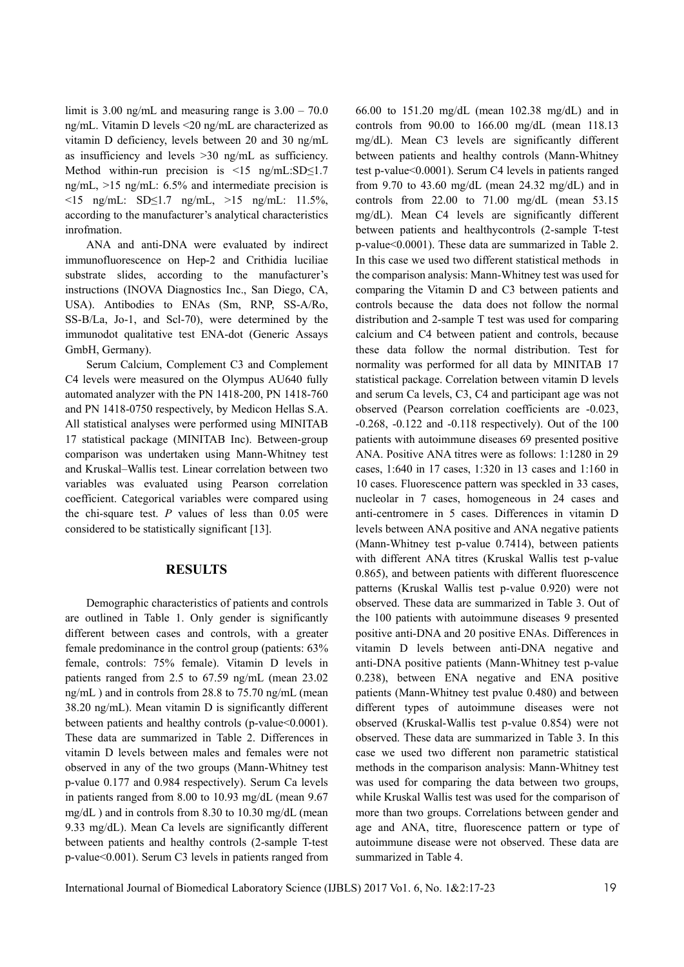limit is  $3.00$  ng/mL and measuring range is  $3.00 - 70.0$ ng/mL. Vitamin D levels <20 ng/mL are characterized as vitamin D deficiency, levels between 20 and 30 ng/mL as insufficiency and levels >30 ng/mL as sufficiency. Method within-run precision is  $\leq 15$  ng/mL:SD $\leq 1.7$ ng/mL, >15 ng/mL: 6.5% and intermediate precision is <15 ng/mL: SD≤1.7 ng/mL, >15 ng/mL: 11.5%, according to the manufacturer's analytical characteristics inrofmation.

ANA and anti-DNA were evaluated by indirect immunofluorescence on Hep-2 and Crithidia luciliae substrate slides, according to the manufacturer's instructions (INOVA Diagnostics Inc., San Diego, CA, USA). Antibodies to ENAs (Sm, RNP, SS-A/Ro, SS-B/La, Jo-1, and Scl-70), were determined by the immunodot qualitative test ENA-dot (Generic Assays GmbH, Germany).

Serum Calcium, Complement C3 and Complement C4 levels were measured on the Olympus AU640 fully automated analyzer with the PN 1418-200, PN 1418-760 and PN 1418-0750 respectively, by Medicon Hellas S.A. All statistical analyses were performed using MINITAB 17 statistical package (MINITAB Inc). Between-group comparison was undertaken using Mann-Whitney test and Kruskal–Wallis test. Linear correlation between two variables was evaluated using Pearson correlation coefficient. Categorical variables were compared using the chi-square test. *P* values of less than 0.05 were considered to be statistically significant [13].

#### **RESULTS**

Demographic characteristics of patients and controls are outlined in Table 1. Only gender is significantly different between cases and controls, with a greater female predominance in the control group (patients: 63% female, controls: 75% female). Vitamin D levels in patients ranged from 2.5 to 67.59 ng/mL (mean 23.02 ng/mL ) and in controls from 28.8 to 75.70 ng/mL (mean 38.20 ng/mL). Mean vitamin D is significantly different between patients and healthy controls (p-value  $0.0001$ ). These data are summarized in Table 2. Differences in vitamin D levels between males and females were not observed in any of the two groups (Mann-Whitney test p-value 0.177 and 0.984 respectively). Serum Ca levels in patients ranged from 8.00 to 10.93 mg/dL (mean 9.67 mg/dL ) and in controls from 8.30 to 10.30 mg/dL (mean 9.33 mg/dL). Mean Ca levels are significantly different between patients and healthy controls (2-sample T-test p-value<0.001). Serum C3 levels in patients ranged from 66.00 to 151.20 mg/dL (mean 102.38 mg/dL) and in controls from 90.00 to 166.00 mg/dL (mean 118.13 mg/dL). Mean C3 levels are significantly different between patients and healthy controls (Mann-Whitney test p-value<0.0001). Serum C4 levels in patients ranged from 9.70 to 43.60 mg/dL (mean 24.32 mg/dL) and in controls from 22.00 to 71.00 mg/dL (mean 53.15 mg/dL). Mean C4 levels are significantly different between patients and healthycontrols (2-sample T-test p-value<0.0001). These data are summarized in Table 2. In this case we used two different statistical methods in the comparison analysis: Mann-Whitney test was used for comparing the Vitamin D and C3 between patients and controls because the data does not follow the normal distribution and 2-sample T test was used for comparing calcium and C4 between patient and controls, because these data follow the normal distribution. Test for normality was performed for all data by MINITAB 17 statistical package. Correlation between vitamin D levels and serum Ca levels, C3, C4 and participant age was not observed (Pearson correlation coefficients are -0.023, -0.268, -0.122 and -0.118 respectively). Out of the 100 patients with autoimmune diseases 69 presented positive ANA. Positive ANA titres were as follows: 1:1280 in 29 cases, 1:640 in 17 cases, 1:320 in 13 cases and 1:160 in 10 cases. Fluorescence pattern was speckled in 33 cases, nucleolar in 7 cases, homogeneous in 24 cases and anti-centromere in 5 cases. Differences in vitamin D levels between ANA positive and ANA negative patients (Mann-Whitney test p-value 0.7414), between patients with different ANA titres (Kruskal Wallis test p-value 0.865), and between patients with different fluorescence patterns (Kruskal Wallis test p-value 0.920) were not observed. These data are summarized in Table 3. Out of the 100 patients with autoimmune diseases 9 presented positive anti-DNA and 20 positive ENAs. Differences in vitamin D levels between anti-DNA negative and anti-DNA positive patients (Mann-Whitney test p-value 0.238), between ENA negative and ENA positive patients (Mann-Whitney test pvalue 0.480) and between different types of autoimmune diseases were not observed (Kruskal-Wallis test p-value 0.854) were not observed. These data are summarized in Table 3. In this case we used two different non parametric statistical methods in the comparison analysis: Mann-Whitney test was used for comparing the data between two groups, while Kruskal Wallis test was used for the comparison of more than two groups. Correlations between gender and age and ANA, titre, fluorescence pattern or type of autoimmune disease were not observed. These data are summarized in Table 4.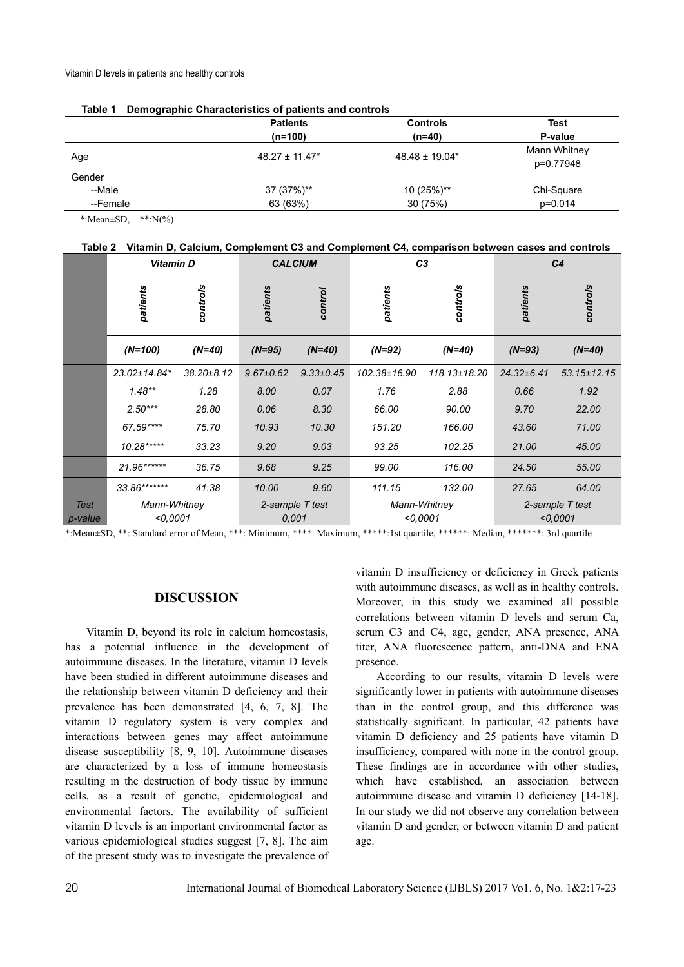|          | <b>Patients</b><br>$(n=100)$ | <b>Controls</b><br>(n=40) | Test<br>P-value           |
|----------|------------------------------|---------------------------|---------------------------|
| Age      | $48.27 \pm 11.47^*$          | $48.48 \pm 19.04*$        | Mann Whitney<br>p=0.77948 |
| Gender   |                              |                           |                           |
| --Male   | 37 (37%)**                   | 10 (25%)**                | Chi-Square                |
| --Female | 63 (63%)                     | 30 (75%)                  | $p=0.014$                 |

|  | Table 1 Demographic Characteristics of patients and controls |
|--|--------------------------------------------------------------|
|  |                                                              |

\*: Mean $\pm$ SD, \*\*: N(%)

**Table 2 Vitamin D, Calcium, Complement C3 and Complement C4, comparison between cases and controls** 

|             | <b>Vitamin D</b> |            | <b>CALCIUM</b>  |                 | C <sub>3</sub> |              | C <sub>4</sub>  |                   |
|-------------|------------------|------------|-----------------|-----------------|----------------|--------------|-----------------|-------------------|
|             | patients         | controls   | patients        | control         | patients       | controls     | patients        | controls          |
|             | $(N=100)$        | $(N=40)$   | $(N=95)$        | $(N=40)$        | $(N=92)$       | $(N=40)$     | $(N=93)$        | $(N=40)$          |
|             | 23.02±14.84*     | 38.20±8.12 | $9.67 \pm 0.62$ | $9.33 \pm 0.45$ | 102.38±16.90   | 118.13±18.20 | 24.32±6.41      | $53.15 \pm 12.15$ |
|             | $1.48**$         | 1.28       | 8.00            | 0.07            | 1.76           | 2.88         | 0.66            | 1.92              |
|             | $2.50***$        | 28.80      | 0.06            | 8.30            | 66.00          | 90.00        | 9.70            | 22.00             |
|             | 67.59****        | 75.70      | 10.93           | 10.30           | 151.20         | 166.00       | 43.60           | 71.00             |
|             | 10.28*****       | 33.23      | 9.20            | 9.03            | 93.25          | 102.25       | 21.00           | 45.00             |
|             | 21.96******      | 36.75      | 9.68            | 9.25            | 99.00          | 116.00       | 24.50           | 55.00             |
|             | 33.86*******     | 41.38      | 10.00           | 9.60            | 111.15         | 132.00       | 27.65           | 64.00             |
| <b>Test</b> | Mann-Whitney     |            | 2-sample T test |                 | Mann-Whitney   |              | 2-sample T test |                   |
| p-value     | $<$ 0,0001       |            | 0,001           |                 | < 0.0001       |              | < 0.0001        |                   |

\*:Mean±SD, \*\*: Standard error of Mean, \*\*\*: Minimum, \*\*\*\*: Maximum, \*\*\*\*\*:1st quartile, \*\*\*\*\*\*: Median, \*\*\*\*\*\*\*: 3rd quartile

# **DISCUSSION**

Vitamin D, beyond its role in calcium homeostasis, has a potential influence in the development of autoimmune diseases. In the literature, vitamin D levels have been studied in different autoimmune diseases and the relationship between vitamin D deficiency and their prevalence has been demonstrated [4, 6, 7, 8]. The vitamin D regulatory system is very complex and interactions between genes may affect autoimmune disease susceptibility [8, 9, 10]. Autoimmune diseases are characterized by a loss of immune homeostasis resulting in the destruction of body tissue by immune cells, as a result of genetic, epidemiological and environmental factors. The availability of sufficient vitamin D levels is an important environmental factor as various epidemiological studies suggest [7, 8]. The aim of the present study was to investigate the prevalence of vitamin D insufficiency or deficiency in Greek patients with autoimmune diseases, as well as in healthy controls. Moreover, in this study we examined all possible correlations between vitamin D levels and serum Ca, serum C3 and C4, age, gender, ANA presence, ANA titer, ANA fluorescence pattern, anti-DNA and ENA presence.

According to our results, vitamin D levels were significantly lower in patients with autoimmune diseases than in the control group, and this difference was statistically significant. In particular, 42 patients have vitamin D deficiency and 25 patients have vitamin D insufficiency, compared with none in the control group. These findings are in accordance with other studies, which have established, an association between autoimmune disease and vitamin D deficiency [14-18]. In our study we did not observe any correlation between vitamin D and gender, or between vitamin D and patient age.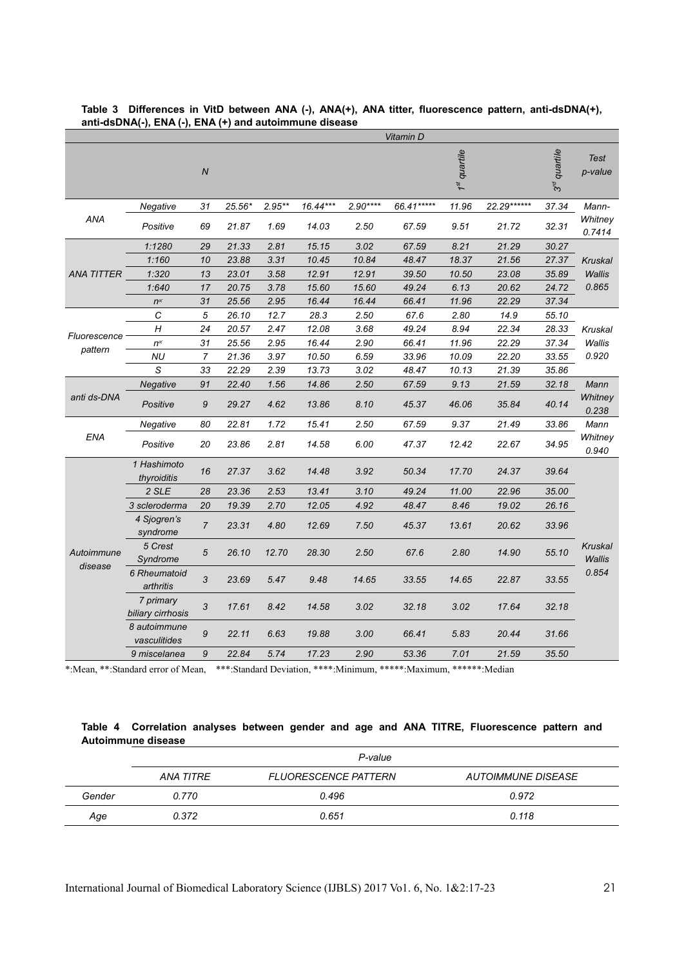|                       |                                |                  |        |          |          |           | Vitamin D  |              |              |                    |                   |
|-----------------------|--------------------------------|------------------|--------|----------|----------|-----------|------------|--------------|--------------|--------------------|-------------------|
|                       |                                | $\boldsymbol{N}$ |        |          |          |           |            | 1st quartile |              | quartile<br>م<br>م | Test<br>p-value   |
|                       | Negative                       | 31               | 25.56* | $2.95**$ | 16.44*** | $2.90***$ | 66.41***** | 11.96        | 22.29 ****** | 37.34              | Mann-             |
| ANA                   | Positive                       | 69               | 21.87  | 1.69     | 14.03    | 2.50      | 67.59      | 9.51         | 21.72        | 32.31              | Whitney<br>0.7414 |
|                       | 1:1280                         | 29               | 21.33  | 2.81     | 15.15    | 3.02      | 67.59      | 8.21         | 21.29        | 30.27              |                   |
|                       | 1:160                          | 10               | 23.88  | 3.31     | 10.45    | 10.84     | 48.47      | 18.37        | 21.56        | 27.37              | Kruskal           |
| <b>ANA TITTER</b>     | 1:320                          | 13               | 23.01  | 3.58     | 12.91    | 12.91     | 39.50      | 10.50        | 23.08        | 35.89              | Wallis            |
|                       | 1:640                          | 17               | 20.75  | 3.78     | 15.60    | 15.60     | 49.24      | 6.13         | 20.62        | 24.72              | 0.865             |
|                       | $n^{\alpha}$                   | 31               | 25.56  | 2.95     | 16.44    | 16.44     | 66.41      | 11.96        | 22.29        | 37.34              |                   |
|                       | C                              | 5                | 26.10  | 12.7     | 28.3     | 2.50      | 67.6       | 2.80         | 14.9         | 55.10              |                   |
|                       | H                              | 24               | 20.57  | 2.47     | 12.08    | 3.68      | 49.24      | 8.94         | 22.34        | 28.33              | Kruskal           |
| Fluorescence          | $n^{\alpha}$                   | 31               | 25.56  | 2.95     | 16.44    | 2.90      | 66.41      | 11.96        | 22.29        | 37.34              | Wallis            |
| pattern               | <b>NU</b>                      | $\overline{7}$   | 21.36  | 3.97     | 10.50    | 6.59      | 33.96      | 10.09        | 22.20        | 33.55              | 0.920             |
|                       | S                              | 33               | 22.29  | 2.39     | 13.73    | 3.02      | 48.47      | 10.13        | 21.39        | 35.86              |                   |
|                       | Negative                       | 91               | 22.40  | 1.56     | 14.86    | 2.50      | 67.59      | 9.13         | 21.59        | 32.18              | Mann              |
| anti ds-DNA           | Positive                       | 9                | 29.27  | 4.62     | 13.86    | 8.10      | 45.37      | 46.06        | 35.84        | 40.14              | Whitney<br>0.238  |
|                       | Negative                       | 80               | 22.81  | 1.72     | 15.41    | 2.50      | 67.59      | 9.37         | 21.49        | 33.86              | Mann              |
| ENA                   | Positive                       | 20               | 23.86  | 2.81     | 14.58    | 6.00      | 47.37      | 12.42        | 22.67        | 34.95              | Whitney<br>0.940  |
|                       | 1 Hashimoto<br>thyroiditis     | 16               | 27.37  | 3.62     | 14.48    | 3.92      | 50.34      | 17.70        | 24.37        | 39.64              |                   |
|                       | 2 SLE                          | 28               | 23.36  | 2.53     | 13.41    | 3.10      | 49.24      | 11.00        | 22.96        | 35.00              |                   |
|                       | 3 scleroderma                  | 20               | 19.39  | 2.70     | 12.05    | 4.92      | 48.47      | 8.46         | 19.02        | 26.16              |                   |
| Autoimmune<br>disease | 4 Sjogren's<br>syndrome        | $\overline{7}$   | 23.31  | 4.80     | 12.69    | 7.50      | 45.37      | 13.61        | 20.62        | 33.96              |                   |
|                       | 5 Crest<br>Syndrome            | 5                | 26.10  | 12.70    | 28.30    | 2.50      | 67.6       | 2.80         | 14.90        | 55.10              | Kruskal<br>Wallis |
|                       | 6 Rheumatoid<br>arthritis      | 3                | 23.69  | 5.47     | 9.48     | 14.65     | 33.55      | 14.65        | 22.87        | 33.55              | 0.854             |
|                       | 7 primary<br>biliary cirrhosis | 3                | 17.61  | 8.42     | 14.58    | 3.02      | 32.18      | 3.02         | 17.64        | 32.18              |                   |
|                       | 8 autoimmune<br>vasculitides   | 9                | 22.11  | 6.63     | 19.88    | 3.00      | 66.41      | 5.83         | 20.44        | 31.66              |                   |
|                       | 9 miscelanea                   | 9                | 22.84  | 5.74     | 17.23    | 2.90      | 53.36      | 7.01         | 21.59        | 35.50              |                   |

#### **Table 3 Differences in VitD between ANA (-), ANA(+), ANA titter, fluorescence pattern, anti-dsDNA(+), anti-dsDNA(-), ENA (-), ENA (+) and autoimmune disease**

\*:Mean, \*\*:Standard error of Mean, \*\*\*:Standard Deviation, \*\*\*\*:Minimum, \*\*\*\*\*:Maximum, \*\*\*\*\*\*:Median

## **Table 4 Correlation analyses between gender and age and ANA TITRE, Fluorescence pattern and Autoimmune disease**

|        | P-value   |                             |                           |  |  |  |
|--------|-----------|-----------------------------|---------------------------|--|--|--|
|        | ANA TITRE | <b>FLUORESCENCE PATTERN</b> | <i>AUTOIMMUNE DISEASE</i> |  |  |  |
| Gender | 0.770     | 0.496                       | 0.972                     |  |  |  |
| Age    | 0.372     | 0.651                       | 0.118                     |  |  |  |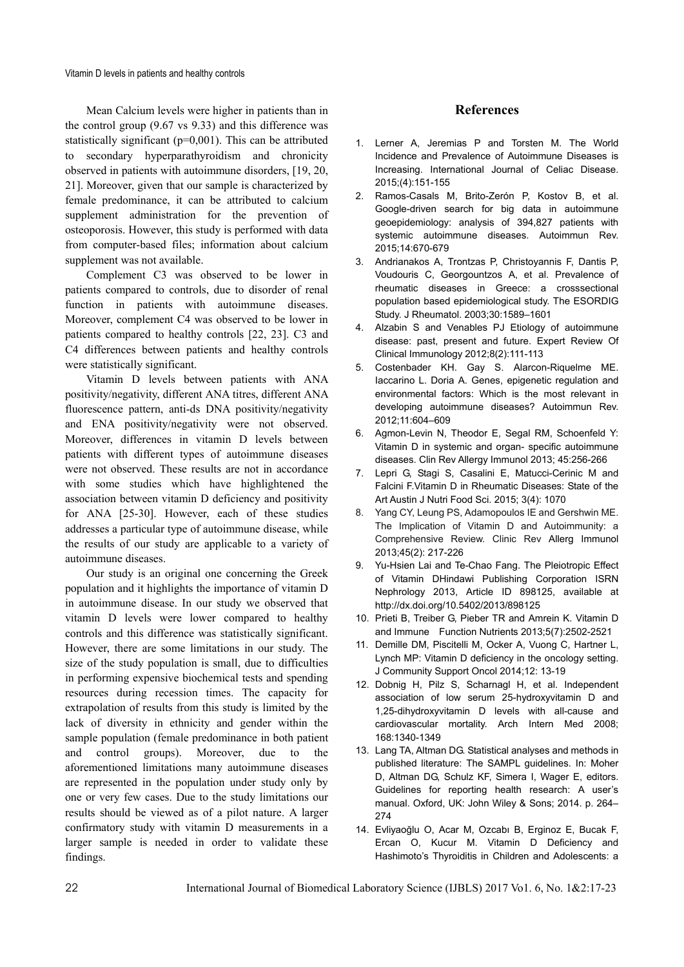Mean Calcium levels were higher in patients than in the control group (9.67 vs 9.33) and this difference was statistically significant (p=0,001). This can be attributed to secondary hyperparathyroidism and chronicity observed in patients with autoimmune disorders, [19, 20, 21]. Moreover, given that our sample is characterized by female predominance, it can be attributed to calcium supplement administration for the prevention of osteoporosis. However, this study is performed with data from computer-based files; information about calcium supplement was not available.

Complement C3 was observed to be lower in patients compared to controls, due to disorder of renal function in patients with autoimmune diseases. Moreover, complement C4 was observed to be lower in patients compared to healthy controls [22, 23]. C3 and C4 differences between patients and healthy controls were statistically significant.

Vitamin D levels between patients with ANA positivity/negativity, different ANA titres, different ANA fluorescence pattern, anti-ds DNA positivity/negativity and ENA positivity/negativity were not observed. Moreover, differences in vitamin D levels between patients with different types of autoimmune diseases were not observed. These results are not in accordance with some studies which have highlightened the association between vitamin D deficiency and positivity for ANA [25-30]. However, each of these studies addresses a particular type of autoimmune disease, while the results of our study are applicable to a variety of autoimmune diseases.

Our study is an original one concerning the Greek population and it highlights the importance of vitamin D in autoimmune disease. In our study we observed that vitamin D levels were lower compared to healthy controls and this difference was statistically significant. However, there are some limitations in our study. The size of the study population is small, due to difficulties in performing expensive biochemical tests and spending resources during recession times. The capacity for extrapolation of results from this study is limited by the lack of diversity in ethnicity and gender within the sample population (female predominance in both patient and control groups). Moreover, due to the aforementioned limitations many autoimmune diseases are represented in the population under study only by one or very few cases. Due to the study limitations our results should be viewed as of a pilot nature. A larger confirmatory study with vitamin D measurements in a larger sample is needed in order to validate these findings.

## **References**

- 1. Lerner A, Jeremias P and Torsten M. The World Incidence and Prevalence of Autoimmune Diseases is Increasing. International Journal of Celiac Disease. 2015;(4):151-155
- 2. Ramos-Casals M, Brito-Zerón P, Kostov B, et al. Google-driven search for big data in autoimmune geoepidemiology: analysis of 394,827 patients with systemic autoimmune diseases. Autoimmun Rev. 2015;14:670-679
- 3. Andrianakos A, Trontzas P, Christoyannis F, Dantis P, Voudouris C, Georgountzos A, et al. Prevalence of rheumatic diseases in Greece: a crosssectional population based epidemiological study. The ESORDIG Study. J Rheumatol. 2003;30:1589–1601
- 4. Alzabin S and Venables PJ Etiology of autoimmune disease: past, present and future. Expert Review Of Clinical Immunology 2012;8(2):111-113
- 5. Costenbader KH. Gay S. Alarcon-Riquelme ME. Iaccarino L. Doria A. Genes, epigenetic regulation and environmental factors: Which is the most relevant in developing autoimmune diseases? Autoimmun Rev. 2012;11:604–609
- 6. Agmon-Levin N, Theodor E, Segal RM, Schoenfeld Y: Vitamin D in systemic and organ- specific autoimmune diseases. Clin Rev Allergy Immunol 2013; 45:256-266
- 7. Lepri G, Stagi S, Casalini E, Matucci-Cerinic M and Falcini F.Vitamin D in Rheumatic Diseases: State of the Art Austin J Nutri Food Sci. 2015; 3(4): 1070
- 8. Yang CY, Leung PS, Adamopoulos IE and Gershwin ME. The Implication of Vitamin D and Autoimmunity: a Comprehensive Review. Clinic Rev Allerg Immunol 2013;45(2): 217-226
- 9. Yu-Hsien Lai and Te-Chao Fang. The Pleiotropic Effect of Vitamin DHindawi Publishing Corporation ISRN Nephrology 2013, Article ID 898125, available at http://dx.doi.org/10.5402/2013/898125
- 10. Prieti B, Treiber G, Pieber TR and Amrein K. Vitamin D and Immune Function Nutrients 2013;5(7):2502-2521
- 11. Demille DM, Piscitelli M, Ocker A, Vuong C, Hartner L, Lynch MP: Vitamin D deficiency in the oncology setting. J Community Support Oncol 2014;12: 13-19
- 12. Dobnig H, Pilz S, Scharnagl H, et al. Independent association of low serum 25-hydroxyvitamin D and 1,25-dihydroxyvitamin D levels with all-cause and cardiovascular mortality. Arch Intern Med 2008; 168:1340-1349
- 13. Lang TA, Altman DG. Statistical analyses and methods in published literature: The SAMPL guidelines. In: Moher D, Altman DG, Schulz KF, Simera I, Wager E, editors. Guidelines for reporting health research: A user's manual. Oxford, UK: John Wiley & Sons; 2014. p. 264– 274
- 14. Evliyaoğlu O, Acar M, Ozcabı B, Erginoz E, Bucak F, Ercan O, Kucur M. Vitamin D Deficiency and Hashimoto's Thyroiditis in Children and Adolescents: a